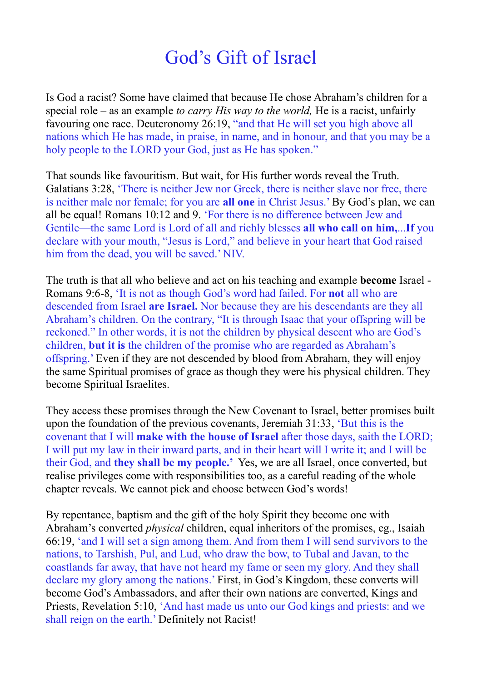## God's Gift of Israel

Is God a racist? Some have claimed that because He chose Abraham's children for a special role – as an example *to carry His way to the world,* He is a racist, unfairly favouring one race. Deuteronomy 26:19, "and that He will set you high above all nations which He has made, in praise, in name, and in honour, and that you may be a holy people to the LORD your God, just as He has spoken."

That sounds like favouritism. But wait, for His further words reveal the Truth. Galatians 3:28, 'There is neither Jew nor Greek, there is neither slave nor free, there is neither male nor female; for you are **all one** in Christ Jesus.' By God's plan, we can all be equal! Romans 10:12 and 9. 'For there is no difference between Jew and Gentile—the same Lord is Lord of all and richly blesses **all who call on him,**...**If** you declare with your mouth, "Jesus is Lord," and believe in your heart that God raised him from the dead, you will be saved.' NIV.

The truth is that all who believe and act on his teaching and example **become** Israel - Romans 9:6-8, 'It is not as though God's word had failed. For **not** all who are descended from Israel **are Israel.** Nor because they are his descendants are they all Abraham's children. On the contrary, "It is through Isaac that your offspring will be reckoned." In other words, it is not the children by physical descent who are God's children, **but it is** the children of the promise who are regarded as Abraham's offspring.' Even if they are not descended by blood from Abraham, they will enjoy the same Spiritual promises of grace as though they were his physical children. They become Spiritual Israelites.

They access these promises through the New Covenant to Israel, better promises built upon the foundation of the previous covenants, Jeremiah 31:33, 'But this is the covenant that I will **make with the house of Israel** after those days, saith the LORD; I will put my law in their inward parts, and in their heart will I write it; and I will be their God, and **they shall be my people.'** Yes, we are all Israel, once converted, but realise privileges come with responsibilities too, as a careful reading of the whole chapter reveals. We cannot pick and choose between God's words!

By repentance, baptism and the gift of the holy Spirit they become one with Abraham's converted *physical* children, equal inheritors of the promises, eg., Isaiah 66:19, 'and I will set a sign among them. And from them I will send survivors to the nations, to Tarshish, Pul, and Lud, who draw the bow, to Tubal and Javan, to the coastlands far away, that have not heard my fame or seen my glory. And they shall declare my glory among the nations.' First, in God's Kingdom, these converts will become God's Ambassadors, and after their own nations are converted, Kings and Priests, Revelation 5:10, 'And hast made us unto our God kings and priests: and we shall reign on the earth.' Definitely not Racist!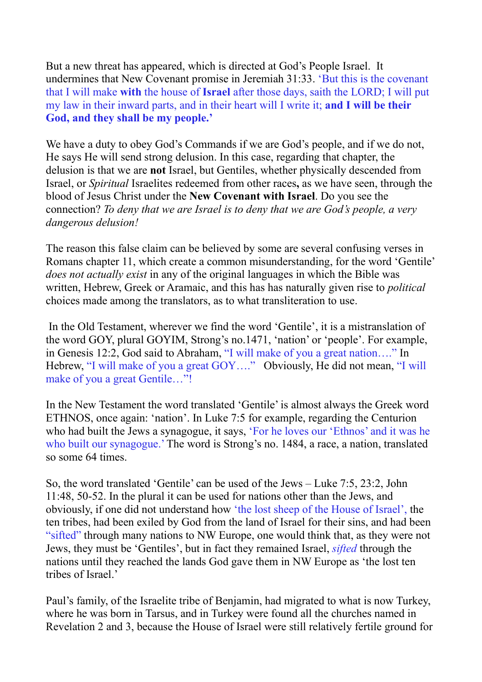But a new threat has appeared, which is directed at God's People Israel. It undermines that New Covenant promise in Jeremiah 31:33. 'But this is the covenant that I will make **with** the house of **Israel** after those days, saith the LORD; I will put my law in their inward parts, and in their heart will I write it; **and I will be their God, and they shall be my people.'**

We have a duty to obey God's Commands if we are God's people, and if we do not, He says He will send strong delusion. In this case, regarding that chapter, the delusion is that we are **not** Israel, but Gentiles, whether physically descended from Israel, or *Spiritual* Israelites redeemed from other races**,** as we have seen, through the blood of Jesus Christ under the **New Covenant with Israel**. Do you see the connection? *To deny that we are Israel is to deny that we are God's people, a very dangerous delusion!*

The reason this false claim can be believed by some are several confusing verses in Romans chapter 11, which create a common misunderstanding, for the word 'Gentile' *does not actually exist* in any of the original languages in which the Bible was written, Hebrew, Greek or Aramaic, and this has has naturally given rise to *political* choices made among the translators, as to what transliteration to use.

 In the Old Testament, wherever we find the word 'Gentile', it is a mistranslation of the word GOY, plural GOYIM, Strong's no.1471, 'nation' or 'people'. For example, in Genesis 12:2, God said to Abraham, "I will make of you a great nation…." In Hebrew, "I will make of you a great GOY…." Obviously, He did not mean, "I will make of you a great Gentile..."!

In the New Testament the word translated 'Gentile' is almost always the Greek word ETHNOS, once again: 'nation'. In Luke 7:5 for example, regarding the Centurion who had built the Jews a synagogue, it says, 'For he loves our 'Ethnos' and it was he who built our synagogue.' The word is Strong's no. 1484, a race, a nation, translated so some 64 times.

So, the word translated 'Gentile' can be used of the Jews – Luke 7:5, 23:2, John 11:48, 50-52. In the plural it can be used for nations other than the Jews, and obviously, if one did not understand how 'the lost sheep of the House of Israel', the ten tribes, had been exiled by God from the land of Israel for their sins, and had been "sifted" through many nations to NW Europe, one would think that, as they were not Jews, they must be 'Gentiles', but in fact they remained Israel, *sifted* through the nations until they reached the lands God gave them in NW Europe as 'the lost ten tribes of Israel.'

Paul's family, of the Israelite tribe of Benjamin, had migrated to what is now Turkey, where he was born in Tarsus, and in Turkey were found all the churches named in Revelation 2 and 3, because the House of Israel were still relatively fertile ground for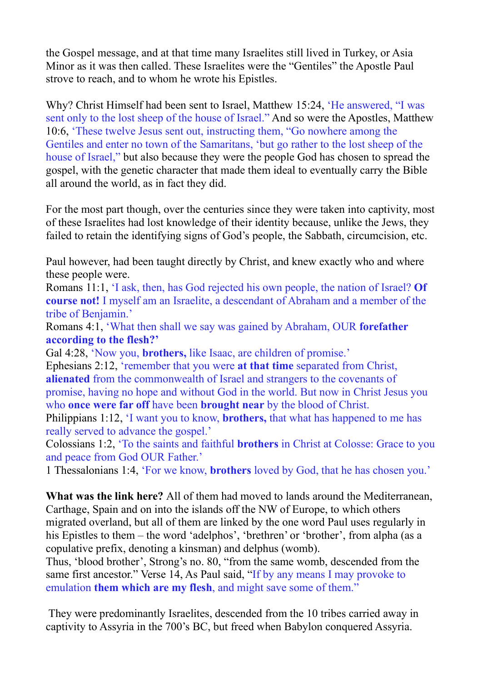the Gospel message, and at that time many Israelites still lived in Turkey, or Asia Minor as it was then called. These Israelites were the "Gentiles" the Apostle Paul strove to reach, and to whom he wrote his Epistles.

Why? Christ Himself had been sent to Israel, Matthew 15:24, 'He answered, "I was sent only to the lost sheep of the house of Israel." And so were the Apostles, Matthew 10:6, 'These twelve Jesus sent out, instructing them, "Go nowhere among the Gentiles and enter no town of the Samaritans, 'but go rather to the lost sheep of the house of Israel," but also because they were the people God has chosen to spread the gospel, with the genetic character that made them ideal to eventually carry the Bible all around the world, as in fact they did.

For the most part though, over the centuries since they were taken into captivity, most of these Israelites had lost knowledge of their identity because, unlike the Jews, they failed to retain the identifying signs of God's people, the Sabbath, circumcision, etc.

Paul however, had been taught directly by Christ, and knew exactly who and where these people were.

Romans 11:1, 'I ask, then, has God rejected his own people, the nation of Israel? **Of course not!** I myself am an Israelite, a descendant of Abraham and a member of the tribe of Benjamin.'

Romans 4:1, 'What then shall we say was gained by Abraham, OUR **forefather according to the flesh?'**

Gal 4:28, 'Now you, **brothers,** like Isaac, are children of promise.'

Ephesians 2:12, 'remember that you were **at that time** separated from Christ, **alienated** from the commonwealth of Israel and strangers to the covenants of promise, having no hope and without God in the world. But now in Christ Jesus you who **once were far off** have been **brought near** by the blood of Christ.

Philippians 1:12, 'I want you to know, **brothers,** that what has happened to me has really served to advance the gospel.'

Colossians 1:2, 'To the saints and faithful **brothers** in Christ at Colosse: Grace to you and peace from God OUR Father.'

1 Thessalonians 1:4, 'For we know, **brothers** loved by God, that he has chosen you.'

**What was the link here?** All of them had moved to lands around the Mediterranean, Carthage, Spain and on into the islands off the NW of Europe, to which others migrated overland, but all of them are linked by the one word Paul uses regularly in his Epistles to them – the word 'adelphos', 'brethren' or 'brother', from alpha (as a copulative prefix, denoting a kinsman) and delphus (womb).

Thus, 'blood brother', Strong's no. 80, "from the same womb, descended from the same first ancestor." Verse 14, As Paul said, "If by any means I may provoke to emulation **them which are my flesh**, and might save some of them."

 They were predominantly Israelites, descended from the 10 tribes carried away in captivity to Assyria in the 700's BC, but freed when Babylon conquered Assyria.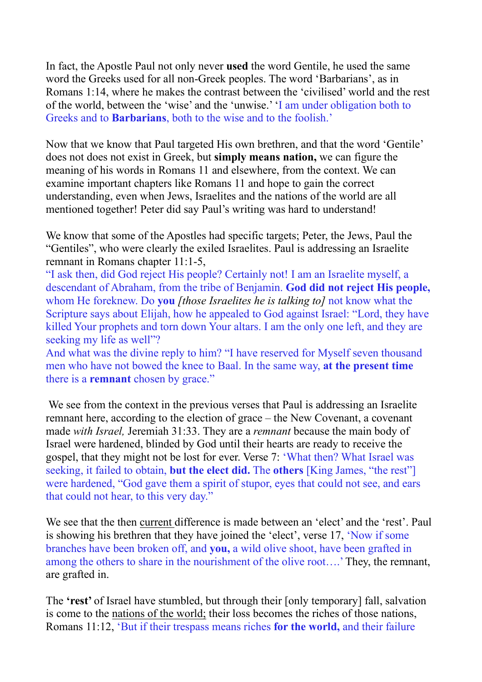In fact, the Apostle Paul not only never **used** the word Gentile, he used the same word the Greeks used for all non-Greek peoples. The word 'Barbarians', as in Romans 1:14, where he makes the contrast between the 'civilised' world and the rest of the world, between the 'wise' and the 'unwise.' 'I am under obligation both to Greeks and to **Barbarians**, both to the wise and to the foolish.'

Now that we know that Paul targeted His own brethren, and that the word 'Gentile' does not does not exist in Greek, but **simply means nation,** we can figure the meaning of his words in Romans 11 and elsewhere, from the context. We can examine important chapters like Romans 11 and hope to gain the correct understanding, even when Jews, Israelites and the nations of the world are all mentioned together! Peter did say Paul's writing was hard to understand!

We know that some of the Apostles had specific targets; Peter, the Jews, Paul the "Gentiles", who were clearly the exiled Israelites. Paul is addressing an Israelite remnant in Romans chapter 11:1-5,

"I ask then, did God reject His people? Certainly not! I am an Israelite myself, a descendant of Abraham, from the tribe of Benjamin. **God did not reject His people,** whom He foreknew. Do **you** *[those Israelites he is talking to]* not know what the Scripture says about Elijah, how he appealed to God against Israel: "Lord, they have killed Your prophets and torn down Your altars. I am the only one left, and they are seeking my life as well"?

And what was the divine reply to him? "I have reserved for Myself seven thousand men who have not bowed the knee to Baal. In the same way, **at the present time** there is a **remnant** chosen by grace."

 We see from the context in the previous verses that Paul is addressing an Israelite remnant here, according to the election of grace – the New Covenant, a covenant made *with Israel,* Jeremiah 31:33. They are a *remnant* because the main body of Israel were hardened, blinded by God until their hearts are ready to receive the gospel, that they might not be lost for ever. Verse 7: 'What then? What Israel was seeking, it failed to obtain, **but the elect did.** The **others** [King James, "the rest"] were hardened, "God gave them a spirit of stupor, eyes that could not see, and ears that could not hear, to this very day."

We see that the then current difference is made between an 'elect' and the 'rest'. Paul is showing his brethren that they have joined the 'elect', verse 17, 'Now if some branches have been broken off, and **you,** a wild olive shoot, have been grafted in among the others to share in the nourishment of the olive root….' They, the remnant, are grafted in.

The **'rest'** of Israel have stumbled, but through their [only temporary] fall, salvation is come to the nations of the world; their loss becomes the riches of those nations, Romans 11:12, 'But if their trespass means riches **for the world,** and their failure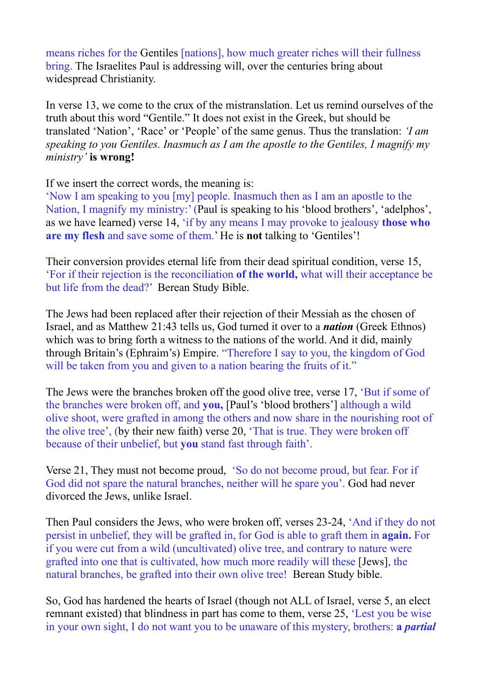means riches for the Gentiles [nations], how much greater riches will their fullness bring. The Israelites Paul is addressing will, over the centuries bring about widespread Christianity.

In verse 13, we come to the crux of the mistranslation. Let us remind ourselves of the truth about this word "Gentile." It does not exist in the Greek, but should be translated 'Nation', 'Race' or 'People' of the same genus. Thus the translation: *'I am speaking to you Gentiles. Inasmuch as I am the apostle to the Gentiles, I magnify my ministry'* **is wrong!** 

If we insert the correct words, the meaning is:

'Now I am speaking to you [my] people. Inasmuch then as I am an apostle to the Nation, I magnify my ministry:' (Paul is speaking to his 'blood brothers', 'adelphos', as we have learned) verse 14, 'if by any means I may provoke to jealousy **those who are my flesh** and save some of them.' He is **not** talking to 'Gentiles'!

Their conversion provides eternal life from their dead spiritual condition, verse 15, 'For if their rejection is the reconciliation **of the world,** what will their acceptance be but life from the dead?' Berean Study Bible.

The Jews had been replaced after their rejection of their Messiah as the chosen of Israel, and as Matthew 21:43 tells us, God turned it over to a *nation* (Greek Ethnos) which was to bring forth a witness to the nations of the world. And it did, mainly through Britain's (Ephraim's) Empire. "Therefore I say to you, the kingdom of God will be taken from you and given to a nation bearing the fruits of it."

The Jews were the branches broken off the good olive tree, verse 17, 'But if some of the branches were broken off, and **you,** [Paul's 'blood brothers'] although a wild olive shoot, were grafted in among the others and now share in the nourishing root of the olive tree', (by their new faith) verse 20, 'That is true. They were broken off because of their unbelief, but **you** stand fast through faith'.

Verse 21, They must not become proud, 'So do not become proud, but fear. For if God did not spare the natural branches, neither will he spare you'. God had never divorced the Jews, unlike Israel.

Then Paul considers the Jews, who were broken off, verses 23-24, 'And if they do not persist in unbelief, they will be grafted in, for God is able to graft them in **again.** For if you were cut from a wild (uncultivated) olive tree, and contrary to nature were grafted into one that is cultivated, how much more readily will these [Jews], the natural branches, be grafted into their own olive tree! Berean Study bible.

So, God has hardened the hearts of Israel (though not ALL of Israel, verse 5, an elect remnant existed) that blindness in part has come to them, verse 25, 'Lest you be wise in your own sight, I do not want you to be unaware of this mystery, brothers: **a** *partial*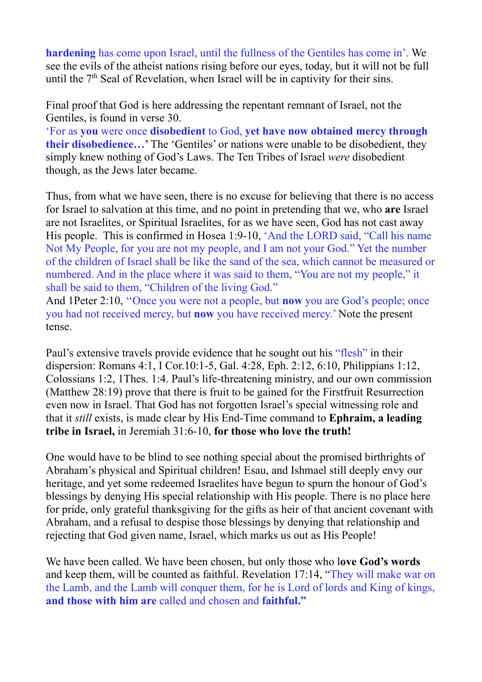**hardening** has come upon Israel, until the fullness of the Gentiles has come in'. We see the evils of the atheist nations rising before our eyes, today, but it will not be full until the  $7<sup>th</sup>$  Seal of Revelation, when Israel will be in captivity for their sins.

Final proof that God is here addressing the repentant remnant of Israel, not the Gentiles, is found in verse 30.

'For as **you** were once **disobedient** to God, **yet have now obtained mercy through their disobedience…'** The 'Gentiles' or nations were unable to be disobedient, they simply knew nothing of God's Laws. The Ten Tribes of Israel *were* disobedient though, as the Jews later became.

Thus, from what we have seen, there is no excuse for believing that there is no access for Israel to salvation at this time, and no point in pretending that we, who **are** Israel are not Israelites, or Spiritual Israelites, for as we have seen, God has not cast away His people. This is confirmed in Hosea 1:9-10, 'And the LORD said, "Call his name Not My People, for you are not my people, and I am not your God." Yet the number of the children of Israel shall be like the sand of the sea, which cannot be measured or numbered. And in the place where it was said to them, "You are not my people," it shall be said to them, "Children of the living God."

And 1Peter 2:10, ''Once you were not a people, but **now** you are God's people; once you had not received mercy, but **now** you have received mercy.' Note the present tense.

Paul's extensive travels provide evidence that he sought out his "flesh" in their dispersion: Romans 4:1, I Cor.10:1-5, Gal. 4:28, Eph. 2:12, 6:10, Philippians 1:12, Colossians 1:2, 1Thes. 1:4. Paul's life-threatening ministry, and our own commission (Matthew 28:19) prove that there is fruit to be gained for the Firstfruit Resurrection even now in Israel. That God has not forgotten Israel's special witnessing role and that it *still* exists, is made clear by His End-Time command to **Ephraim, a leading tribe in Israel,** in Jeremiah 31:6-10, **for those who love the truth!**

One would have to be blind to see nothing special about the promised birthrights of Abraham's physical and Spiritual children! Esau, and Ishmael still deeply envy our heritage, and yet some redeemed Israelites have begun to spurn the honour of God's blessings by denying His special relationship with His people. There is no place here for pride, only grateful thanksgiving for the gifts as heir of that ancient covenant with Abraham, and a refusal to despise those blessings by denying that relationship and rejecting that God given name, Israel, which marks us out as His People!

We have been called. We have been chosen, but only those who l**ove God's words** and keep them, will be counted as faithful. Revelation 17:14, "They will make war on the Lamb, and the Lamb will conquer them, for he is Lord of lords and King of kings, **and those with him are** called and chosen and **faithful."**